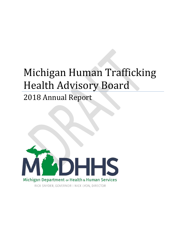# Michigan Human Trafficking Health Advisory Board

## 2018 Annual Report



RICK SNYDER, GOVERNOR | NICK LYON, DIRECTOR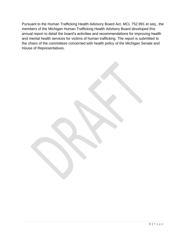Pursuant to the Human Trafficking Health Advisory Board Act, MCL 752.991 et seq., the members of the Michigan Human Trafficking Health Advisory Board developed this annual report to detail the board's activities and recommendations for improving health and mental health services for victims of human trafficking. The report is submitted to the chairs of the committees concerned with health policy of the Michigan Senate and House of Representatives.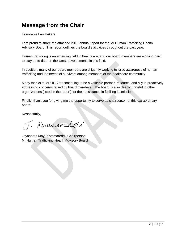## **Message from the Chair**

Honorable Lawmakers,

I am proud to share the attached 2018 annual report for the MI Human Trafficking Health Advisory Board. This report outlines the board's activities throughout the past year.

Human trafficking is an emerging field in healthcare, and our board members are working hard to stay up to date on the latest developments in this field.

In addition, many of our board members are diligently working to raise awareness of human trafficking and the needs of survivors among members of the healthcare community.

Many thanks to MDHHS for continuing to be a valuable partner, resource, and ally in proactively addressing concerns raised by board members. The board is also deeply grateful to other organizations (listed in the report) for their assistance in fulfilling its mission.

Finally, thank you for giving me the opportunity to serve as chairperson of this extraordinary board.

Respectfully,

J. Kouwaveddi

Jayashree (Jay) Kommareddi, Chairperson MI Human Trafficking Health Advisory Board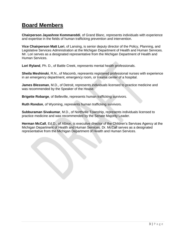#### **Board Members**

**Chairperson Jayashree Kommareddi**, of Grand Blanc, represents individuals with experience and expertise in the fields of human trafficking prevention and intervention.

**Vice Chairperson Matt Lori**, of Lansing, is senior deputy director of the Policy, Planning, and Legislative Services Administration at the Michigan Department of Health and Human Services. Mr. Lori serves as a designated representative from the Michigan Department of Health and Human Services.

**Lori Ryland**, Ph. D., of Battle Creek, represents mental health professionals.

**Sheila Meshinski**, R.N., of Macomb, represents registered professional nurses with experience in an emergency department, emergency room, or trauma center of a hospital.

**James Blessman**, M.D., of Detroit, represents individuals licensed to practice medicine and was recommended by the Speaker of the House.

**Brigette Robarge**, of Belleville, represents human trafficking survivors.

**Ruth Rondon**, of Wyoming, represents human trafficking survivors.

**Subburaman Sivakumar**, M.D., of Northville Township, represents individuals licensed to practice medicine and was recommended by the Senate Majority Leader.

**Herman McCall**, Ed.D., of Albion, is executive director of the Children's Services Agency at the Michigan Department of Health and Human Services. Dr. McCall serves as a designated representative from the Michigan Department of Health and Human Services.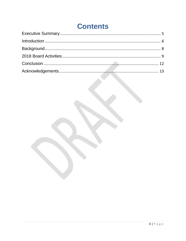# **Contents**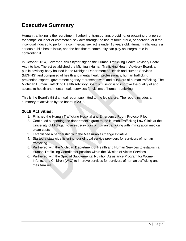## <span id="page-5-0"></span>**Executive Summary**

Human trafficking is the recruitment, harboring, transporting, providing, or obtaining of a person for compelled labor or commercial sex acts through the use of force, fraud, or coercion, or if the individual induced to perform a commercial sex act is under 18 years old. Human trafficking is a serious public health issue, and the healthcare community can play an integral role in confronting it.

In October 2014, Governor Rick Snyder signed the Human Trafficking Health Advisory Board Act into law. The act established the Michigan Human Trafficking Health Advisory Board, a public advisory body housed in the Michigan Department of Health and Human Services (MDHHS) and comprised of health and mental health professionals, human trafficking prevention experts, government agency representatives, and survivors of human trafficking. The Michigan Human Trafficking Health Advisory Board's mission is to improve the quality of and access to health and mental health services for victims of human trafficking.

This is the Board's third annual report submitted to the legislature. The report includes a summary of activities by the board in 2018.

#### **2018 Activities:**

- 1. Finished the Human Trafficking Hospital and Emergency Room Protocol Pilot
- 2. Continued supporting the department's grant to the Human Trafficking Law Clinic at the University of Michigan to assist survivors of human trafficking with immigration medical exam costs
- 3. Established a partnership with the Measurable Change Initiative
- 4. Started a statewide listening tour of local service providers for survivors of human trafficking
- 5. Partnered with the Michigan Department of Health and Human Services to establish a Human Trafficking Coordinator position within the Division of Victim Services
- 6. Partnered with the Special Supplemental Nutrition Assistance Program for Women, Infants, and Children (WIC) to improve services for survivors of human trafficking and their families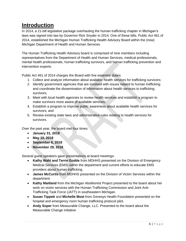## <span id="page-6-0"></span>**Introduction**

In 2014, a 21-bill legislative package overhauling the human trafficking chapter in Michigan's laws was signed into law by Governor Rick Snyder in 2014. One of these bills, Public Act 461 of 2014, established the Michigan Human Trafficking Health Advisory Board within the (now) Michigan Department of Health and Human Services.

The Human Trafficking Health Advisory board is comprised of nine members including representatives from the Department of Health and Human Services, medical professionals, mental health professionals, human trafficking survivors, and human trafficking prevention and intervention experts.

Public Act 461 of 2014 charges the Board with five essential duties:

- 1. Collect and analyze information about available health services for trafficking survivors;
- 2. Identify government agencies that are involved with issues related to human trafficking and coordinate the dissemination of information about health services to trafficking survivors;
- 3. Meet with local health agencies to review health services and establish a program to make survivors more aware of available services;
- 4. Establish a program to improve public awareness about available health services for survivors; and
- 5. Review existing state laws and administrative rules relating to health services for survivors.

Over the past year, the board met four times:

- **January 31, 2018**
- **May 10, 2018**
- **September 6, 2018**
- **November 29, 2018**

Several guest speakers gave presentations at board meetings:

- **Kathy Wahl and Terrie Godde** from MDHHS presented on the Division of Emergency Medical Services (EMS) within the department and current efforts to educate EMS providers about human trafficking.
- **James McCurtis** from MDHHS presented on the Division of Victim Services within the department.
- **Kathy Maitland** from the Michigan Abolitionist Project presented to the board about her work on victim services with the Human Trafficking Commission and Joint Anti-Trafficking Task Force (JATT) in southeastern Michigan.
- **Susan Tippett** and **Michelle Most** from Genesys Health Foundation presented on the hospital and emergency room human trafficking protocol pilot.
- **Andy Soper** from Measurable Change, LLC. Presented to the board about the Measurable Change initiative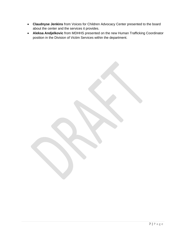- **Claudnyse Jenkins** from Voices for Children Advocacy Center presented to the board about the center and the services it provides.
- **Aleksa Andjelkovic** from MDHHS presented on the new Human Trafficking Coordinator position in the Division of Victim Services within the department.

7 | P a g e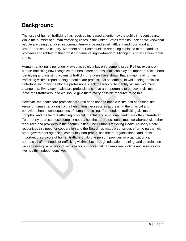## <span id="page-8-0"></span>**Background**

The issue of human trafficking has received increased attention by the public in recent years. While the number of human trafficking cases in the United States remains unclear, we know that people are being trafficked in communities—large and small, affluent and poor, rural and urban—across the country. Members of our communities are being exploited at the hands of profiteers and robbed of their most fundamental right—freedom. Michigan is no exception to this crime.

Human trafficking is no longer viewed as solely a law enforcement issue. Rather, experts on human trafficking now recognize that healthcare professionals can play an important role in both identifying and assisting victims of trafficking. Studies have shown that a majority of human trafficking victims report seeing a healthcare professional at some point while being trafficked. Unfortunately, many healthcare professionals lack the training to identify victims. We must change this. Every day healthcare professionals have an opportunity to empower victims to leave their traffickers, and we should give them every possible resource to do this.

However, the healthcare professional's role does not end once a victim has been identified. Viewing human trafficking from a health lens necessitates addressing the physical and behavioral health consequences of human trafficking. The needs of trafficking victims are complex, and the factors affecting physical, mental, and emotional health are often interrelated. To properly address these complex needs, healthcare professionals must collaborate with other resources and providers in their communities. The Human Trafficking Health Advisory Board recognizes this need for cooperation and the Board has made a conscious effort to partner with other government agencies, community non-profits, healthcare organizations, and, most importantly, survivors of human trafficking. No one person, provider, or organization can address all of the needs of trafficking victims, but through education, training, and coordination we can develop a network of services for survivors that can empower victims and survivors to live healthy, independent lives.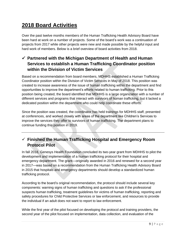## <span id="page-9-0"></span>**2018 Board Activities**

Over the past twelve months members of the Human Trafficking Health Advisory Board have been hard at work on a number of projects. Some of the board's work was a continuation of projects from 2017 while other projects were new and made possible by the helpful input and hard work of members. Below is a brief overview of board activities from 2018.

#### ✓ **Partnered with the Michigan Department of Health and Human Services to establish a Human Trafficking Coordinator position within the Division of Victim Services**

Based on a recommendation from board members, MDHHS established a Human Trafficking Coordinator position within the Division of Victim Services in May of 2018. This position was created to increase awareness of the issue of human trafficking within the department and find opportunities to improve the department's efforts related to human trafficking. Prior to this position being created, the board identified that MDHHS is a large organization with a number of different services and programs that interact with survivors of human trafficking, but it lacked a dedicated position within the department who could help coordinate these efforts.

Since the position was created, the coordinator has held trainings for MDHHS staff, presented at conferences, and worked closely with areas of the department like Children's Services to improve the services they offer to survivors of human trafficking. The department plans to continue funding this position in 2019.

#### ✓ **Finished the Human Trafficking Hospital and Emergency Room Protocol Pilot**

In fall 2018, Genesys Health Foundation concluded its two-year grant from MDHHS to pilot the development and implementation of a human trafficking protocol for their hospital and emergency department. The grant—originally awarded in 2016 and renewed for a second year in 2017—was based on a recommendation from the Human Trafficking Health Advisory Board in 2015 that hospitals and emergency departments should develop a standardized human trafficking protocol.

According to the board's original recommendation, the protocol should include several key components: warning signs of human trafficking and questions to ask if the professional suspects human trafficking, treatment guidelines for victims of human trafficking, reporting and safety procedures for Child Protective Services or law enforcement, and resources to provide the individual if an adult does not want to report to law enforcement.

While the first year of the pilot focused on developing the protocol and training providers, the second year of the pilot focused on implementation, data collection, and evaluation of the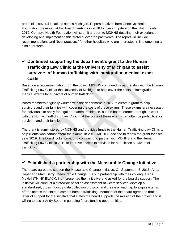protocol in several locations across Michigan. Representatives from Genesys Health Foundation presented at two board meetings in 2018 to give an update on the pilot. In early 2019, Genesys Health Foundation will submit a report to MDHHS detailing their experience developing and implementing this protocol over the past years. The report will include recommendations and "best practices" for other hospitals who are interested in implementing a similar protocol.

#### ✓ **Continued supporting the department's grant to the Human Trafficking Law Clinic at the University of Michigan to assist survivors of human trafficking with immigration medical exam costs**

Based on a recommendation from the board, MDHHS continued its partnership with the Human Trafficking Law Clinic at the University of Michigan to help cover the costs of immigration medical exams for survivors of human trafficking.

Board members originally worked with the department in 2017 to create a grant to help survivors and their families with covering the costs of these exams. These exams are necessary for individuals to apply for legal permanent residence, but the board learned through its work with the Human Trafficking Law Clinic that the costs of these exams can often be prohibitive for survivors and their families.

The grant is administered by MDHHS and provides funds to the Human Trafficking Law Clinic to help clients who cannot afford the exams. In 2018, MDHHS decided to renew the grant for fiscal year 2019. The board looks forward to continuing to partner with MDHHS and the Human Trafficking Law Clinic in 2019 to improve access to services for non-citizen survivors of trafficking.

#### ✓ **Established a partnership with the Measurable Change Initiative**

The board agreed to support the Measurable Change Initiative. On September 6, 2018, Andy Soper and Marc Berry (Measurable Change, LLC) in partnership with their colleague Kris McNeil (THINK BLACK, Inc.) presented their initiative and asked for the board's support. The initiative will conduct a statewide baseline assessment of victim services, develop a standardized, cross industry data collection protocol, and create a roadmap to align systemic efforts across the state to combat human trafficking Members of the board agreed to draft a letter of support for the initiative that states the board supports the mission of the project and is willing to assist Andy Soper in pursuing future funding opportunities.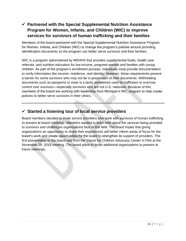#### ✓ **Partnered with the Special Supplemental Nutrition Assistance Program for Women, Infants, and Children (WIC) to improve services for survivors of human trafficking and their families**

Members of the board partnered with the Special Supplemental Nutrition Assistance Program for Women, Infants, and Children (WIC) to change the program's policies around providing identification documents so the program can better serve survivors and their families.

WIC is a program administered by MDHHS that provides supplemental foods, health care referrals, and nutrition education for low-income, pregnant women and families with young children. As part of the program's enrollment process, individuals must provide documentation to verify information like income, residence, and identity. However, these requirements present a barrier for some survivors who may not be in possession of their documents. Withholding documents such as passports or visas is a tactic sometimes used by traffickers to exercise control over survivors—especially survivors who are not U.S. nationals. Because of this, members of the board are working with leadership from Michigan's WIC program to help create policies to better serve survivors in their clinics.

#### ✓ **Started a listening tour of local service providers**

Board members decided to invite service providers who work with survivors of human trafficking to present at board meetings. Members wanted to learn both about the services being provided to survivors and challenges organizations face in this field. The board hopes that giving organizations an opportunity to share their experiences will better inform areas of focus for the board's work and create opportunities for the board to strengthen its support of providers. The first presentation to the board was from the Voices for Children Advocacy Center in Flint at the November 29, 2018 meeting. The board plans to invite additional organizations to present at future meetings.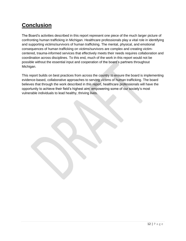## <span id="page-12-0"></span>**Conclusion**

The Board's activities described in this report represent one piece of the much larger picture of confronting human trafficking in Michigan. Healthcare professionals play a vital role in identifying and supporting victims/survivors of human trafficking. The mental, physical, and emotional consequences of human trafficking on victims/survivors are complex and creating victimcentered, trauma-informed services that effectively meets their needs requires collaboration and coordination across disciplines. To this end, much of the work in this report would not be possible without the essential input and cooperation of the board's partners throughout Michigan.

This report builds on best practices from across the country to ensure the board is implementing evidence-based, collaborative approaches to serving victims of human trafficking. The board believes that through the work described in this report, healthcare professionals will have the opportunity to achieve their field's highest aim: empowering some of our society's most vulnerable individuals to lead healthy, thriving lives.